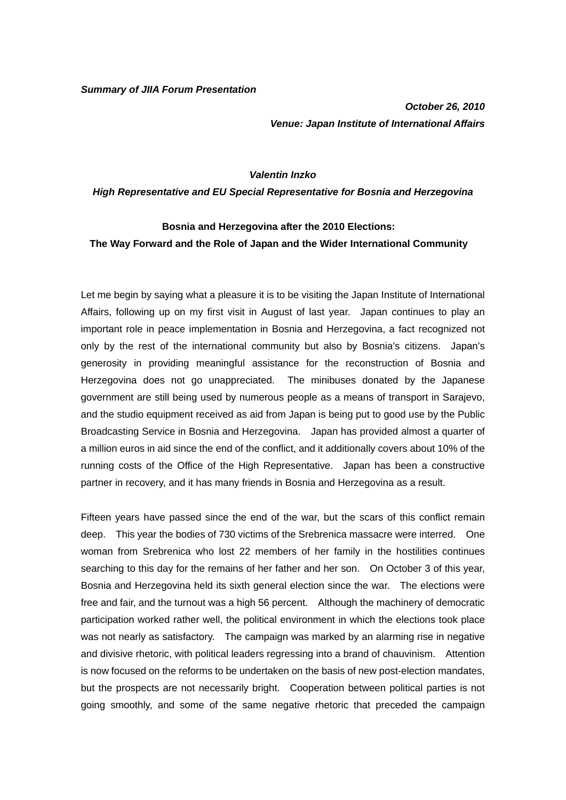*Summary of JIIA Forum Presentation* 

*October 26, 2010 Venue: Japan Institute of International Affairs* 

## *Valentin Inzko*

*High Representative and EU Special Representative for Bosnia and Herzegovina* 

## **Bosnia and Herzegovina after the 2010 Elections: The Way Forward and the Role of Japan and the Wider International Community**

Let me begin by saying what a pleasure it is to be visiting the Japan Institute of International Affairs, following up on my first visit in August of last year. Japan continues to play an important role in peace implementation in Bosnia and Herzegovina, a fact recognized not only by the rest of the international community but also by Bosnia's citizens. Japan's generosity in providing meaningful assistance for the reconstruction of Bosnia and Herzegovina does not go unappreciated. The minibuses donated by the Japanese government are still being used by numerous people as a means of transport in Sarajevo, and the studio equipment received as aid from Japan is being put to good use by the Public Broadcasting Service in Bosnia and Herzegovina. Japan has provided almost a quarter of a million euros in aid since the end of the conflict, and it additionally covers about 10% of the running costs of the Office of the High Representative. Japan has been a constructive partner in recovery, and it has many friends in Bosnia and Herzegovina as a result.

Fifteen years have passed since the end of the war, but the scars of this conflict remain deep. This year the bodies of 730 victims of the Srebrenica massacre were interred. One woman from Srebrenica who lost 22 members of her family in the hostilities continues searching to this day for the remains of her father and her son. On October 3 of this year, Bosnia and Herzegovina held its sixth general election since the war. The elections were free and fair, and the turnout was a high 56 percent. Although the machinery of democratic participation worked rather well, the political environment in which the elections took place was not nearly as satisfactory. The campaign was marked by an alarming rise in negative and divisive rhetoric, with political leaders regressing into a brand of chauvinism. Attention is now focused on the reforms to be undertaken on the basis of new post-election mandates, but the prospects are not necessarily bright. Cooperation between political parties is not going smoothly, and some of the same negative rhetoric that preceded the campaign